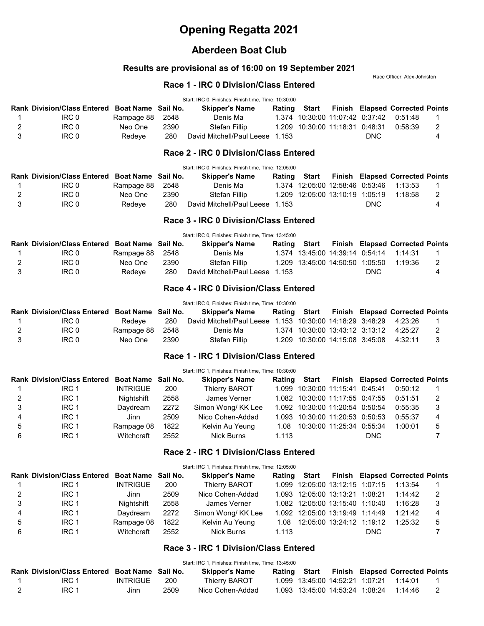# Opening Regatta 2021

## Aberdeen Boat Club

## Results are provisional as of 16:00 on 19 September 2021

Race Officer: Alex Johnston

#### Race 1 - IRC 0 Division/Class Entered

|   |                                                |                    |          | Start: IRC 0, Finishes: Finish time, Time: 10:30:00       |        |                                 |        |            |                                        |                |
|---|------------------------------------------------|--------------------|----------|-----------------------------------------------------------|--------|---------------------------------|--------|------------|----------------------------------------|----------------|
|   | Rank Division/Class Entered Boat Name Sail No. |                    |          | <b>Skipper's Name</b>                                     | Rating | Start                           |        |            | <b>Finish Elapsed Corrected Points</b> |                |
| 1 | IRC <sub>0</sub>                               | Rampage 88         | 2548     | Denis Ma                                                  |        | 1.374 10:30:00 11:07:42 0:37:42 |        |            | 0:51:48                                | 1              |
| 2 | IRC <sub>0</sub>                               | Neo One            | 2390     | <b>Stefan Fillip</b>                                      | 1.209  | 10:30:00 11:18:31 0:48:31       |        |            | 0:58:39                                | 2              |
| 3 | IRC <sub>0</sub>                               | Redeye             | 280      | David Mitchell/Paul Leese 1.153                           |        |                                 |        | <b>DNC</b> |                                        | 4              |
|   |                                                |                    |          | Race 2 - IRC 0 Division/Class Entered                     |        |                                 |        |            |                                        |                |
|   |                                                |                    |          | Start: IRC 0, Finishes: Finish time, Time: 12:05:00       |        |                                 |        |            |                                        |                |
|   | <b>Rank Division/Class Entered</b>             | Boat Name Sail No. |          | <b>Skipper's Name</b>                                     | Rating | <b>Start</b>                    | Finish |            | <b>Elapsed Corrected Points</b>        |                |
| 1 | IRC <sub>0</sub>                               | Rampage 88         | 2548     | Denis Ma                                                  |        | 1.374 12:05:00 12:58:46 0:53:46 |        |            | 1:13:53                                | 1              |
| 2 | IRC <sub>0</sub>                               | Neo One            | 2390     | <b>Stefan Fillip</b>                                      | 1.209  | 12:05:00 13:10:19 1:05:19       |        |            | 1:18:58                                | 2              |
| 3 | IRC <sub>0</sub>                               | Redeye             | 280      | David Mitchell/Paul Leese 1.153                           |        |                                 |        | <b>DNC</b> |                                        | 4              |
|   |                                                |                    |          | Race 3 - IRC 0 Division/Class Entered                     |        |                                 |        |            |                                        |                |
|   |                                                |                    |          | Start: IRC 0, Finishes: Finish time, Time: 13:45:00       |        |                                 |        |            |                                        |                |
|   | <b>Rank Division/Class Entered Boat Name</b>   |                    | Sail No. | <b>Skipper's Name</b>                                     | Rating | <b>Start</b>                    |        |            | <b>Finish Elapsed Corrected Points</b> |                |
| 1 | IRC <sub>0</sub>                               | Rampage 88         | 2548     | Denis Ma                                                  |        | 1.374 13:45:00 14:39:14 0:54:14 |        |            | 1:14:31                                | 1              |
| 2 | IRC <sub>0</sub>                               | Neo One            | 2390     | Stefan Fillip                                             |        | 1.209 13:45:00 14:50:50 1:05:50 |        |            | 1:19:36                                | 2              |
| 3 | IRC <sub>0</sub>                               | Redeye             | 280      | David Mitchell/Paul Leese 1.153                           |        |                                 |        | <b>DNC</b> |                                        | 4              |
|   |                                                |                    |          | Race 4 - IRC 0 Division/Class Entered                     |        |                                 |        |            |                                        |                |
|   |                                                |                    |          | Start: IRC 0, Finishes: Finish time, Time: 10:30:00       |        |                                 |        |            |                                        |                |
|   | Rank Division/Class Entered Boat Name Sail No. |                    |          | <b>Skipper's Name</b>                                     | Rating | <b>Start</b>                    |        |            | <b>Finish Elapsed Corrected Points</b> |                |
| 1 | IRC <sub>0</sub>                               | Redeye             | 280      | David Mitchell/Paul Leese 1.153 10:30:00 14:18:29 3:48:29 |        |                                 |        |            | 4:23:26                                | 1              |
| 2 | IRC <sub>0</sub>                               | Rampage 88         | 2548     | Denis Ma                                                  |        | 1.374 10:30:00 13:43:12 3:13:12 |        |            | 4:25:27                                | 2              |
| 3 | IRC <sub>0</sub>                               | Neo One            | 2390     | Stefan Fillip                                             |        | 1.209 10:30:00 14:15:08 3:45:08 |        |            | 4:32:11                                | 3              |
|   |                                                |                    |          | Race 1 - IRC 1 Division/Class Entered                     |        |                                 |        |            |                                        |                |
|   |                                                |                    |          | Start: IRC 1, Finishes: Finish time, Time: 10:30:00       |        |                                 |        |            |                                        |                |
|   | <b>Rank Division/Class Entered</b>             | <b>Boat Name</b>   | Sail No. | <b>Skipper's Name</b>                                     | Rating | <b>Start</b>                    |        |            | <b>Finish Elapsed Corrected Points</b> |                |
| 1 | IRC <sub>1</sub>                               | <b>INTRIGUE</b>    | 200      | Thierry BAROT                                             | 1.099  | 10:30:00 11:15:41 0:45:41       |        |            | 0:50:12                                | 1              |
| 2 | IRC <sub>1</sub>                               | Nightshift         | 2558     | James Verner                                              | 1.082  | 10:30:00 11:17:55 0:47:55       |        |            | 0:51:51                                | 2              |
| 3 | IRC <sub>1</sub>                               | Daydream           | 2272     | Simon Wong/ KK Lee                                        |        | 1.092 10:30:00 11:20:54 0:50:54 |        |            | 0:55:35                                | 3              |
| 4 | IRC <sub>1</sub>                               | Jinn               | 2509     | Nico Cohen-Addad                                          |        | 1.093 10:30:00 11:20:53 0:50:53 |        |            | 0:55:37                                | 4              |
| 5 | IRC <sub>1</sub>                               | Rampage 08         | 1822     | Kelvin Au Yeung                                           | 1.08   | 10:30:00 11:25:34 0:55:34       |        |            | 1:00:01                                | 5              |
| 6 | IRC <sub>1</sub>                               | Witchcraft         | 2552     | <b>Nick Burns</b>                                         | 1.113  |                                 |        | DNC        |                                        | $\overline{7}$ |
|   |                                                |                    |          | Race 2 - IRC 1 Division/Class Entered                     |        |                                 |        |            |                                        |                |
|   |                                                |                    |          | Start: IRC 1, Finishes: Finish time, Time: 12:05:00       |        |                                 |        |            |                                        |                |
|   | <b>Rank Division/Class Entered</b>             | Boat Name Sail No. |          | <b>Skipper's Name</b>                                     | Rating | <b>Start</b>                    |        |            | <b>Finish Elapsed Corrected Points</b> |                |
| 1 | IRC <sub>1</sub>                               | <b>INTRIGUE</b>    | 200      | <b>Thierry BAROT</b>                                      |        | 1.099 12:05:00 13:12:15 1:07:15 |        |            | 1:13:54                                | 1              |
| 2 | IRC <sub>1</sub>                               | Jinn               | 2509     | Nico Cohen-Addad                                          |        | 1.093 12:05:00 13:13:21 1:08:21 |        |            | 1:14:42                                | 2              |
| 3 | IRC <sub>1</sub>                               | Nightshift         | 2558     | James Verner                                              |        | 1.082 12:05:00 13:15:40 1:10:40 |        |            | 1:16:28                                | 3              |
| 4 | IRC <sub>1</sub>                               | Daydream           | 2272     | Simon Wong/ KK Lee                                        |        | 1.092 12:05:00 13:19:49 1:14:49 |        |            | 1:21:42                                | 4              |
| 5 | IRC <sub>1</sub>                               | Rampage 08         | 1822     | Kelvin Au Yeung                                           | 1.08   | 12:05:00 13:24:12 1:19:12       |        |            | 1:25:32                                | 5              |
| 6 | IRC <sub>1</sub>                               | Witchcraft         | 2552     | <b>Nick Burns</b>                                         | 1.113  |                                 |        | <b>DNC</b> |                                        | $\overline{7}$ |

#### Race 3 - IRC 1 Division/Class Entered

e and the URC 1 and the US552 Units Mick Burns 1.113 Contact 1.113 DNC 7

|                                                |          |      | Start: IRC 1, Finishes: Finish time, Time: 13:45:00 |        |                                 |  |                                        |  |
|------------------------------------------------|----------|------|-----------------------------------------------------|--------|---------------------------------|--|----------------------------------------|--|
| Rank Division/Class Entered Boat Name Sail No. |          |      | <b>Skipper's Name</b>                               | Rating | Start                           |  | <b>Finish Elapsed Corrected Points</b> |  |
| IRC 1                                          | INTRIGUE | 200  | Thierry BAROT                                       |        |                                 |  | 1.14.01                                |  |
| IRC 1                                          | Jinn     | 2509 | Nico Cohen-Addad                                    |        | 1.093 13:45:00 14:53:24 1:08:24 |  | 1.14.46                                |  |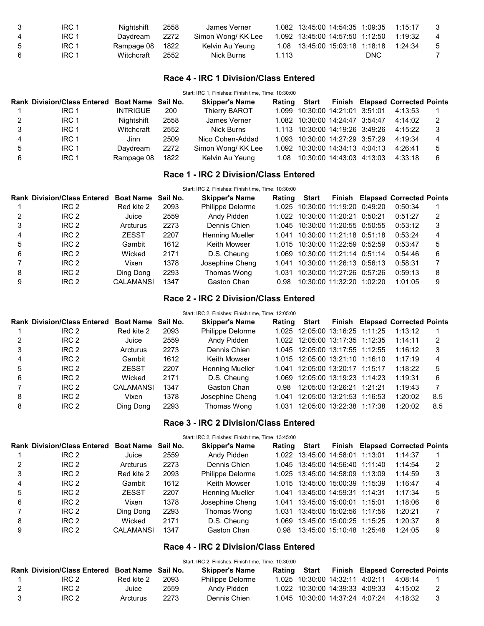| - 3 | IRC 1 | Nightshift      | 2558 | James Verner       |       | 1.082 13:45:00 14:54:35 1:09:35 1:15:17 |            |         |               |
|-----|-------|-----------------|------|--------------------|-------|-----------------------------------------|------------|---------|---------------|
| -4  | IRC 1 | Davdream        | 2272 | Simon Wong/ KK Lee |       | 1.092 13:45:00 14:57:50 1:12:50         |            | 1:19:32 |               |
| 5   | IRC 1 | Rampage 08 1822 |      | Kelvin Au Yeung    |       | 1.08 13:45:00 15:03:18 1:18:18          |            | 1:24:34 | $\mathcal{D}$ |
| - 6 | IRC 1 | Witchcraft      | 2552 | Nick Burns         | 1.113 |                                         | <b>DNC</b> |         |               |

#### Race 4 - IRC 1 Division/Class Entered

| Start: IRC 1, Finishes: Finish time, Time: 10:30:00 |                                                |                 |      |                       |  |                                 |  |  |                                              |     |
|-----------------------------------------------------|------------------------------------------------|-----------------|------|-----------------------|--|---------------------------------|--|--|----------------------------------------------|-----|
|                                                     | Rank Division/Class Entered Boat Name Sail No. |                 |      | <b>Skipper's Name</b> |  |                                 |  |  | Rating Start Finish Elapsed Corrected Points |     |
|                                                     | IRC 1                                          | <b>INTRIGUE</b> | 200  | Thierry BAROT         |  | 1.099 10:30:00 14:21:01 3:51:01 |  |  | 4:13:53                                      |     |
| 2                                                   | IRC 1                                          | Nightshift      | 2558 | James Verner          |  | 1.082 10:30:00 14:24:47 3:54:47 |  |  | 4:14:02                                      | - 2 |
| 3                                                   | IRC 1                                          | Witchcraft      | 2552 | Nick Burns            |  | 1.113 10:30:00 14:19:26 3:49:26 |  |  | 4:15:22                                      | - 3 |
| 4                                                   | IRC 1                                          | Jinn            | 2509 | Nico Cohen-Addad      |  | 1.093 10:30:00 14:27:29 3:57:29 |  |  | 4:19:34                                      | 4   |
| 5                                                   | IRC 1                                          | Davdream        | 2272 | Simon Wong/KK Lee     |  | 1.092 10:30:00 14:34:13 4:04:13 |  |  | 4:26:41                                      | 5   |
| 6                                                   | IRC 1                                          | Rampage 08      | 1822 | Kelvin Au Yeung       |  | 1.08 10:30:00 14:43:03 4:13:03  |  |  | 4:33:18                                      | 6   |

## Race 1 - IRC 2 Division/Class Entered

Start: IRC 2, Finishes: Finish time, Time: 10:30:00

|   | <b>Rank Division/Class Entered</b> | <b>Boat Name</b> | Sail No. | <b>Skipper's Name</b>  | Rating | Start                           |                                 | <b>Finish Elapsed Corrected Points</b> |                |
|---|------------------------------------|------------------|----------|------------------------|--------|---------------------------------|---------------------------------|----------------------------------------|----------------|
|   | IRC 2                              | Red kite 2       | 2093     | Philippe Delorme       |        | 1.025 10:30:00 11:19:20 0:49:20 |                                 | 0:50:34                                |                |
|   | IRC <sub>2</sub>                   | Juice            | 2559     | Andy Pidden            |        | 1.022 10:30:00 11:20:21 0:50:21 |                                 | 0:51:27                                | 2              |
|   | IRC <sub>2</sub>                   | Arcturus         | 2273     | Dennis Chien           |        | 1.045 10:30:00 11:20:55 0:50:55 |                                 | 0:53:12                                | 3              |
| 4 | IRC <sub>2</sub>                   | <b>ZESST</b>     | 2207     | <b>Henning Mueller</b> | 1.041  | 10:30:00 11:21:18 0:51:18       |                                 | 0:53:24                                | $\overline{4}$ |
| 5 | IRC <sub>2</sub>                   | Gambit           | 1612     | Keith Mowser           |        | 1.015 10:30:00 11:22:59 0:52:59 |                                 | 0:53:47                                | 5              |
| 6 | IRC <sub>2</sub>                   | Wicked           | 2171     | D.S. Cheung            |        | 1.069 10:30:00 11:21:14 0:51:14 |                                 | 0:54:46                                | 6              |
|   | IRC <sub>2</sub>                   | Vixen            | 1378     | Josephine Cheng        | 1.041  | 10:30:00 11:26:13 0:56:13       |                                 | 0:58:31                                |                |
| 8 | IRC 2                              | Ding Dong        | 2293     | Thomas Wong            | 1.031  | 10:30:00 11:27:26 0:57:26       |                                 | 0:59:13                                | 8              |
| 9 | IRC <sub>2</sub>                   | CALAMANSI        | 1347     | Gaston Chan            | 0.98   |                                 | $10:30:00$ $11:32:20$ $1:02:20$ | 1:01:05                                | 9              |

#### Race 2 - IRC 2 Division/Class Entered

#### Start: IRC 2, Finishes: Finish time, Time: 12:05:00

|   | <b>Rank Division/Class Entered</b> | Boat Name Sail No. |      | <b>Skipper's Name</b>  | Rating | Start                           |  | <b>Finish Elapsed Corrected Points</b> |     |
|---|------------------------------------|--------------------|------|------------------------|--------|---------------------------------|--|----------------------------------------|-----|
|   | IRC 2                              | Red kite 2         | 2093 | Philippe Delorme       |        | 1.025 12:05:00 13:16:25 1:11:25 |  | 1:13:12                                |     |
|   | IRC <sub>2</sub>                   | Juice              | 2559 | Andy Pidden            |        | 1.022 12:05:00 13:17:35 1:12:35 |  | 1:14:11                                |     |
|   | IRC 2                              | Arcturus           | 2273 | Dennis Chien           |        | 1.045 12:05:00 13:17:55 1:12:55 |  | 1:16:12                                | 3   |
| 4 | IRC 2                              | Gambit             | 1612 | Keith Mowser           |        | 1.015 12:05:00 13:21:10 1:16:10 |  | 1:17:19                                | 4   |
| 5 | IRC <sub>2</sub>                   | <b>ZESST</b>       | 2207 | <b>Henning Mueller</b> |        | 1.041 12:05:00 13:20:17 1:15:17 |  | 1:18:22                                | 5   |
| 6 | IRC <sub>2</sub>                   | Wicked             | 2171 | D.S. Cheung            |        | 1.069 12:05:00 13:19:23 1:14:23 |  | 1:19:31                                | 6   |
|   | IRC <sub>2</sub>                   | <b>CALAMANSI</b>   | 1347 | Gaston Chan            | 0.98   | 12:05:00 13:26:21 1:21:21       |  | 1:19:43                                |     |
| 8 | IRC 2                              | Vixen              | 1378 | Josephine Cheng        | 1.041  | 12:05:00 13:21:53 1:16:53       |  | 1:20:02                                | 8.5 |
| 8 | IRC <sub>2</sub>                   | Ding Dong          | 2293 | Thomas Wong            | 1.031  | 12:05:00 13:22:38 1:17:38       |  | 1:20:02                                | 8.5 |

#### Race 3 - IRC 2 Division/Class Entered

Start: IRC 2, Finishes: Finish time, Time: 13:45:00

|   | Rank Division/Class Entered Boat Name Sail No. |              |      | <b>Skipper's Name</b>   | Rating | Start                           |  | <b>Finish Elapsed Corrected Points</b> |   |
|---|------------------------------------------------|--------------|------|-------------------------|--------|---------------------------------|--|----------------------------------------|---|
|   | IRC 2                                          | Juice        | 2559 | Andy Pidden             |        | 1.022 13:45:00 14:58:01 1:13:01 |  | 1:14:37                                |   |
|   | IRC 2                                          | Arcturus     | 2273 | Dennis Chien            |        | 1.045 13:45:00 14:56:40 1:11:40 |  | 1:14:54                                | 2 |
| 3 | IRC 2                                          | Red kite 2   | 2093 | <b>Philippe Delorme</b> |        | 1.025 13:45:00 14:58:09 1:13:09 |  | 1:14:59                                | 3 |
| 4 | IRC 2                                          | Gambit       | 1612 | Keith Mowser            |        | 1.015 13:45:00 15:00:39 1:15:39 |  | 1:16:47                                | 4 |
| 5 | IRC 2                                          | <b>ZESST</b> | 2207 | <b>Henning Mueller</b>  |        | 1.041 13:45:00 14:59:31 1:14:31 |  | 1:17:34                                | 5 |
| 6 | IRC 2                                          | Vixen        | 1378 | Josephine Cheng         |        | 1.041 13:45:00 15:00:01 1:15:01 |  | 1:18:06                                | 6 |
|   | IRC 2                                          | Ding Dong    | 2293 | Thomas Wong             |        | 1.031 13:45:00 15:02:56 1:17:56 |  | 1:20:21                                |   |
| 8 | IRC 2                                          | Wicked       | 2171 | D.S. Cheung             | 1.069  | 13:45:00 15:00:25 1:15:25       |  | 1:20:37                                | 8 |
| 9 | IRC 2                                          | CALAMANSI    | 1347 | Gaston Chan             | 0.98   | 13:45:00 15:10:48 1:25:48       |  | 1:24:05                                | 9 |

#### Race 4 - IRC 2 Division/Class Entered

|   |                                                |            |      | Start: IRC 2, Finishes: Finish time, Time: 10:30:00 |                                 |  |                                        |     |
|---|------------------------------------------------|------------|------|-----------------------------------------------------|---------------------------------|--|----------------------------------------|-----|
|   | Rank Division/Class Entered Boat Name Sail No. |            |      | <b>Skipper's Name</b>                               | Rating Start                    |  | <b>Finish Elapsed Corrected Points</b> |     |
|   | IRC 2                                          | Red kite 2 | 2093 | <b>Philippe Delorme</b>                             | 1.025 10:30:00 14:32:11 4:02:11 |  | 4:08:14                                |     |
| 2 | IRC 2                                          | Juice      | 2559 | Andy Pidden                                         | 1.022 10:30:00 14:39:33 4:09:33 |  | 4:15:02                                |     |
|   | IRC 2                                          | Arcturus   | 2273 | Dennis Chien                                        | 1.045 10:30:00 14:37:24 4:07:24 |  | 4:18:32                                | - 3 |